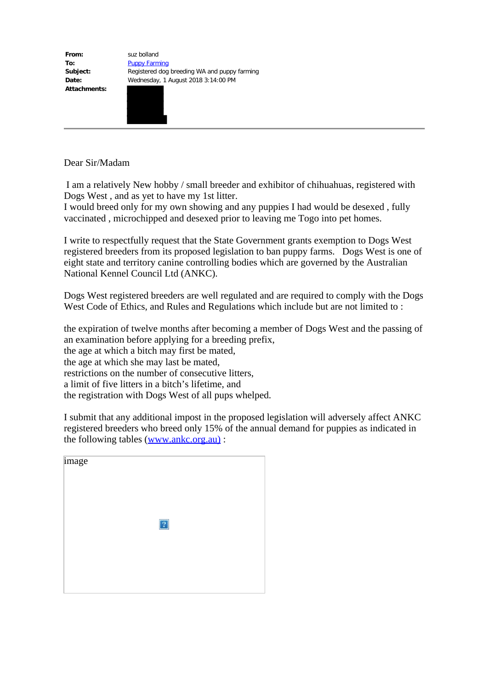**From:** suz bolland **To:** [Puppy Farming](mailto:puppyfarming@dlgsc.wa.gov.au) **Subject:** Registered dog breeding WA and puppy farming **Date:** Wednesday, 1 August 2018 3:14:00 PM **Attachments:**

Dear Sir/Madam

 I am a relatively New hobby / small breeder and exhibitor of chihuahuas, registered with Dogs West , and as yet to have my 1st litter.

I would breed only for my own showing and any puppies I had would be desexed , fully vaccinated , microchipped and desexed prior to leaving me Togo into pet homes.

I write to respectfully request that the State Government grants exemption to Dogs West registered breeders from its proposed legislation to ban puppy farms. Dogs West is one of eight state and territory canine controlling bodies which are governed by the Australian National Kennel Council Ltd (ANKC).

Dogs West registered breeders are well regulated and are required to comply with the Dogs West Code of Ethics, and Rules and Regulations which include but are not limited to :

the expiration of twelve months after becoming a member of Dogs West and the passing of an examination before applying for a breeding prefix, the age at which a bitch may first be mated, the age at which she may last be mated, restrictions on the number of consecutive litters, a limit of five litters in a bitch's lifetime, and the registration with Dogs West of all pups whelped.

I submit that any additional impost in the proposed legislation will adversely affect ANKC registered breeders who breed only 15% of the annual demand for puppies as indicated in the following tables [\(www.ankc.org.au\)](http://www.ankc.org.au/) :

| image |  |  |  |
|-------|--|--|--|
|       |  |  |  |
|       |  |  |  |
|       |  |  |  |
|       |  |  |  |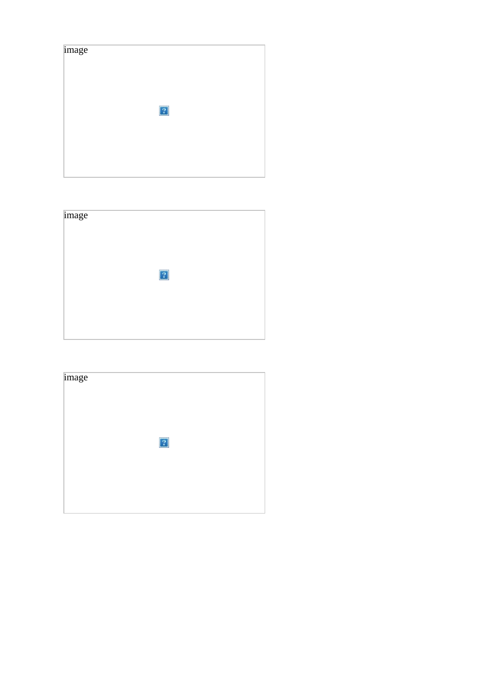| image |  |                |  |  |
|-------|--|----------------|--|--|
|       |  | $\overline{?}$ |  |  |
|       |  |                |  |  |
|       |  |                |  |  |

| image |  |             |  |  |
|-------|--|-------------|--|--|
|       |  | $\boxed{?}$ |  |  |
|       |  |             |  |  |
|       |  |             |  |  |

| image |  |                |  |  |
|-------|--|----------------|--|--|
|       |  | $\overline{?}$ |  |  |
|       |  |                |  |  |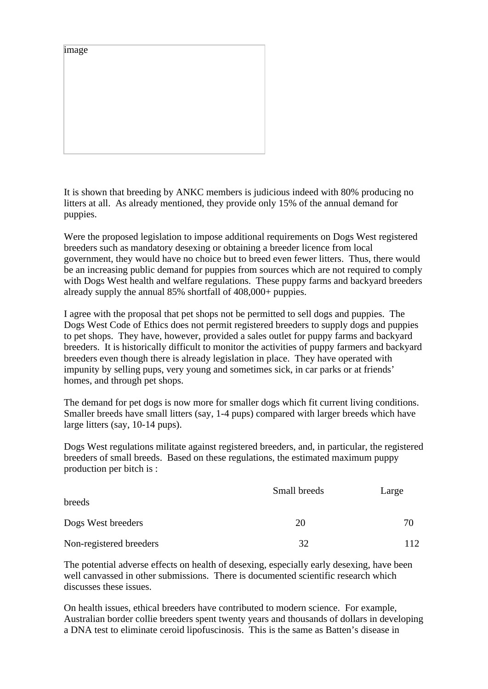| image |
|-------|
|       |
|       |
|       |
|       |
|       |
|       |
|       |
|       |
|       |
|       |
|       |
|       |
|       |
|       |
|       |
|       |
|       |
|       |
|       |
|       |
|       |
|       |
|       |
|       |
|       |
|       |

It is shown that breeding by ANKC members is judicious indeed with 80% producing no litters at all. As already mentioned, they provide only 15% of the annual demand for puppies.

Were the proposed legislation to impose additional requirements on Dogs West registered breeders such as mandatory desexing or obtaining a breeder licence from local government, they would have no choice but to breed even fewer litters. Thus, there would be an increasing public demand for puppies from sources which are not required to comply with Dogs West health and welfare regulations. These puppy farms and backyard breeders already supply the annual 85% shortfall of 408,000+ puppies.

I agree with the proposal that pet shops not be permitted to sell dogs and puppies. The Dogs West Code of Ethics does not permit registered breeders to supply dogs and puppies to pet shops. They have, however, provided a sales outlet for puppy farms and backyard breeders. It is historically difficult to monitor the activities of puppy farmers and backyard breeders even though there is already legislation in place. They have operated with impunity by selling pups, very young and sometimes sick, in car parks or at friends' homes, and through pet shops.

The demand for pet dogs is now more for smaller dogs which fit current living conditions. Smaller breeds have small litters (say, 1-4 pups) compared with larger breeds which have large litters (say, 10-14 pups).

Dogs West regulations militate against registered breeders, and, in particular, the registered breeders of small breeds. Based on these regulations, the estimated maximum puppy production per bitch is :

|                         | Small breeds | Large |
|-------------------------|--------------|-------|
| breeds                  |              |       |
| Dogs West breeders      | 20           | 70    |
| Non-registered breeders | 32           | 112   |

The potential adverse effects on health of desexing, especially early desexing, have been well canvassed in other submissions. There is documented scientific research which discusses these issues.

On health issues, ethical breeders have contributed to modern science. For example, Australian border collie breeders spent twenty years and thousands of dollars in developing a DNA test to eliminate ceroid lipofuscinosis. This is the same as Batten's disease in